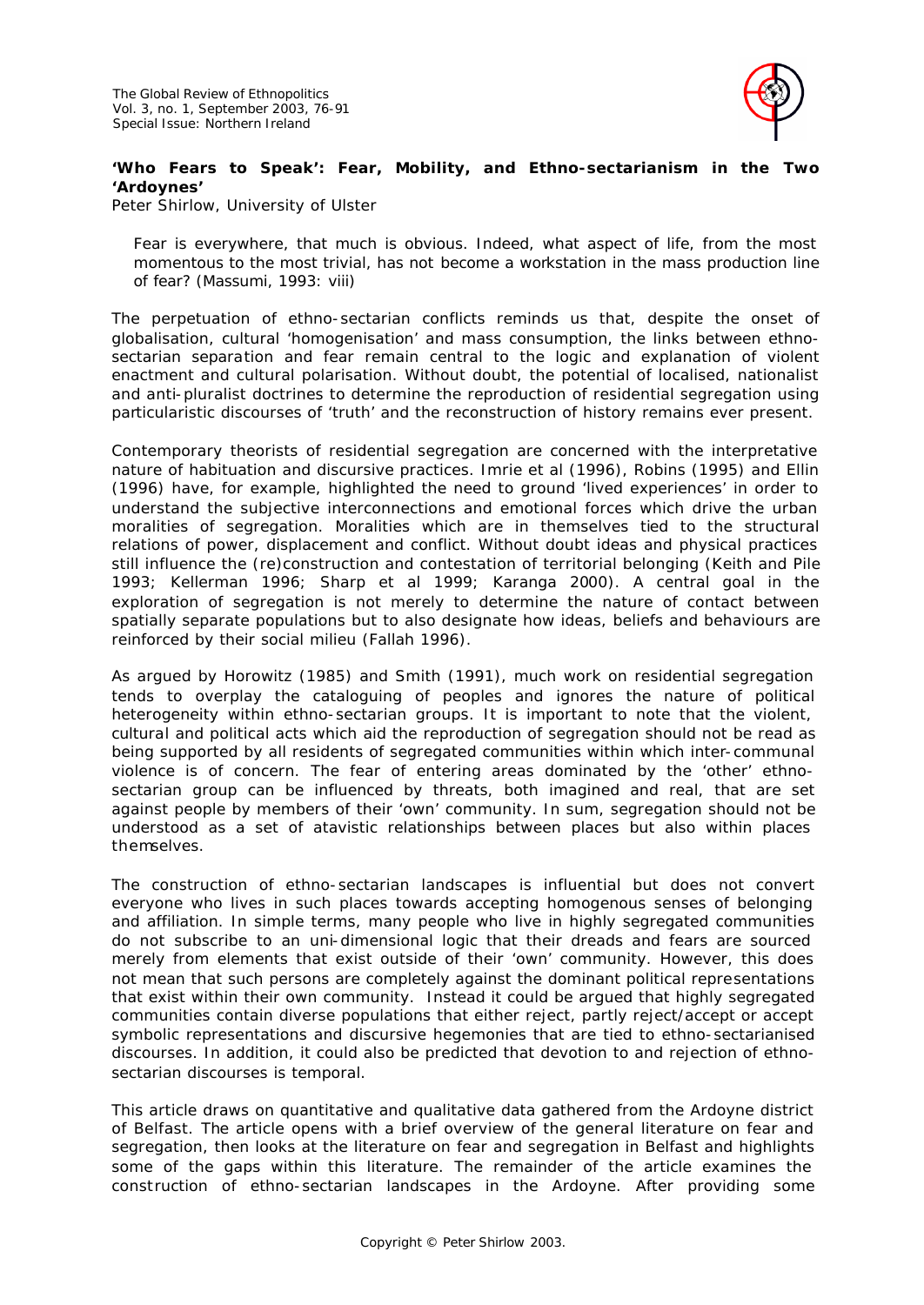

# **'Who Fears to Speak': Fear, Mobility, and Ethno-sectarianism in the Two 'Ardoynes'**

*Peter Shirlow, University of Ulster*

Fear is everywhere, that much is obvious. Indeed, what aspect of life, from the most momentous to the most trivial, has *not* become a workstation in the mass production line of fear? (Massumi, 1993: viii)

The perpetuation of ethno-sectarian conflicts reminds us that, despite the onset of globalisation, cultural 'homogenisation' and mass consumption, the links between ethnosectarian separation and fear remain central to the logic and explanation of violent enactment and cultural polarisation. Without doubt, the potential of localised, nationalist and anti-pluralist doctrines to determine the reproduction of residential segregation using particularistic discourses of 'truth' and the reconstruction of history remains ever present.

Contemporary theorists of residential segregation are concerned with the interpretative nature of habituation and discursive practices. Imrie et al (1996), Robins (1995) and Ellin (1996) have, for example, highlighted the need to ground 'lived experiences' in order to understand the subjective interconnections and emotional forces which drive the urban moralities of segregation. Moralities which are in themselves tied to the structural relations of power, displacement and conflict. Without doubt ideas and physical practices still influence the (re)construction and contestation of territorial belonging (Keith and Pile 1993; Kellerman 1996; Sharp et al 1999; Karanga 2000). A central goal in the exploration of segregation is not merely to determine the nature of contact between spatially separate populations but to also designate how ideas, beliefs and behaviours are reinforced by their social milieu (Fallah 1996).

As argued by Horowitz (1985) and Smith (1991), much work on residential segregation tends to overplay the cataloguing of peoples and ignores the nature of political heterogeneity within ethno-sectarian groups. It is important to note that the violent, cultural and political acts which aid the reproduction of segregation should not be read as being supported by all residents of segregated communities within which inter-communal violence is of concern. The fear of entering areas dominated by the 'other' ethnosectarian group can be influenced by threats, both imagined and real, that are set against people by members of their 'own' community. In sum, segregation should not be understood as a set of atavistic relationships between places but also within places themselves.

The construction of ethno-sectarian landscapes is influential but does not convert everyone who lives in such places towards accepting homogenous senses of belonging and affiliation. In simple terms, many people who live in highly segregated communities do not subscribe to an uni-dimensional logic that their dreads and fears are sourced merely from elements that exist outside of their 'own' community. However, this does not mean that such persons are completely against the dominant political representations that exist within their own community. Instead it could be argued that highly segregated communities contain diverse populations that either reject, partly reject/accept or accept symbolic representations and discursive hegemonies that are tied to ethno-sectarianised discourses. In addition, it could also be predicted that devotion to and rejection of ethnosectarian discourses is temporal.

This article draws on quantitative and qualitative data gathered from the Ardoyne district of Belfast. The article opens with a brief overview of the general literature on fear and segregation, then looks at the literature on fear and segregation in Belfast and highlights some of the gaps within this literature. The remainder of the article examines the construction of ethno-sectarian landscapes in the Ardoyne. After providing some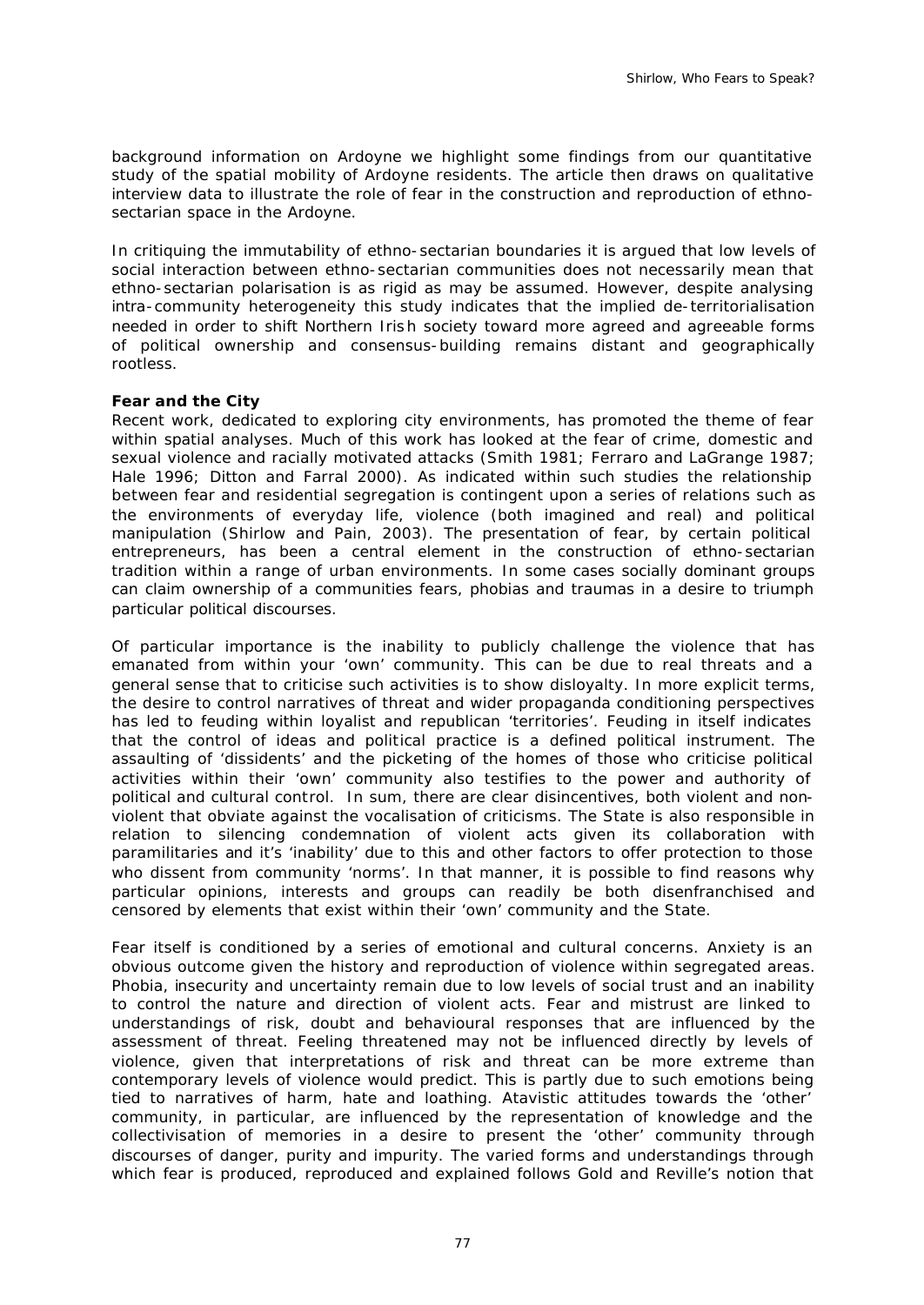background information on Ardoyne we highlight some findings from our quantitative study of the spatial mobility of Ardoyne residents. The article then draws on qualitative interview data to illustrate the role of fear in the construction and reproduction of ethnosectarian space in the Ardoyne.

In critiquing the immutability of ethno-sectarian boundaries it is argued that low levels of social interaction between ethno-sectarian communities does not necessarily mean that ethno-sectarian polarisation is as rigid as may be assumed. However, despite analysing intra-community heterogeneity this study indicates that the implied de-territorialisation needed in order to shift Northern Irish society toward more agreed and agreeable forms of political ownership and consensus-building remains distant and geographically rootless.

## *Fear and the City*

Recent work, dedicated to exploring city environments, has promoted the theme of fear within spatial analyses. Much of this work has looked at the fear of crime, domestic and sexual violence and racially motivated attacks (Smith 1981; Ferraro and LaGrange 1987; Hale 1996; Ditton and Farral 2000). As indicated within such studies the relationship between fear and residential segregation is contingent upon a series of relations such as the environments of everyday life, violence (both imagined and real) and political manipulation (Shirlow and Pain, 2003). The presentation of fear, by certain political entrepreneurs, has been a central element in the construction of ethno-sectarian tradition within a range of urban environments. In some cases socially dominant groups can claim ownership of a communities fears, phobias and traumas in a desire to triumph particular political discourses.

Of particular importance is the inability to publicly challenge the violence that has emanated from within your 'own' community. This can be due to real threats and a general sense that to criticise such activities is to show disloyalty. In more explicit terms, the desire to control narratives of threat and wider propaganda conditioning perspectives has led to feuding within loyalist and republican 'territories'. Feuding in itself indicates that the control of ideas and political practice is a defined political instrument. The assaulting of 'dissidents' and the picketing of the homes of those who criticise political activities within their 'own' community also testifies to the power and authority of political and cultural control. In sum, there are clear disincentives, both violent and nonviolent that obviate against the vocalisation of criticisms. The State is also responsible in relation to silencing condemnation of violent acts given its collaboration with paramilitaries and it's 'inability' due to this and other factors to offer protection to those who dissent from community 'norms'. In that manner, it is possible to find reasons why particular opinions, interests and groups can readily be both disenfranchised and censored by elements that exist within their 'own' community and the State.

Fear itself is conditioned by a series of emotional and cultural concerns. Anxiety is an obvious outcome given the history and reproduction of violence within segregated areas. Phobia, insecurity and uncertainty remain due to low levels of social trust and an inability to control the nature and direction of violent acts. Fear and mistrust are linked to understandings of risk, doubt and behavioural responses that are influenced by the assessment of threat. Feeling threatened may not be influenced directly by levels of violence, given that interpretations of risk and threat can be more extreme than contemporary levels of violence would predict. This is partly due to such emotions being tied to narratives of harm, hate and loathing. Atavistic attitudes towards the 'other' community, in particular, are influenced by the representation of knowledge and the collectivisation of memories in a desire to present the 'other' community through discourses of danger, purity and impurity. The varied forms and understandings through which fear is produced, reproduced and explained follows Gold and Reville's notion that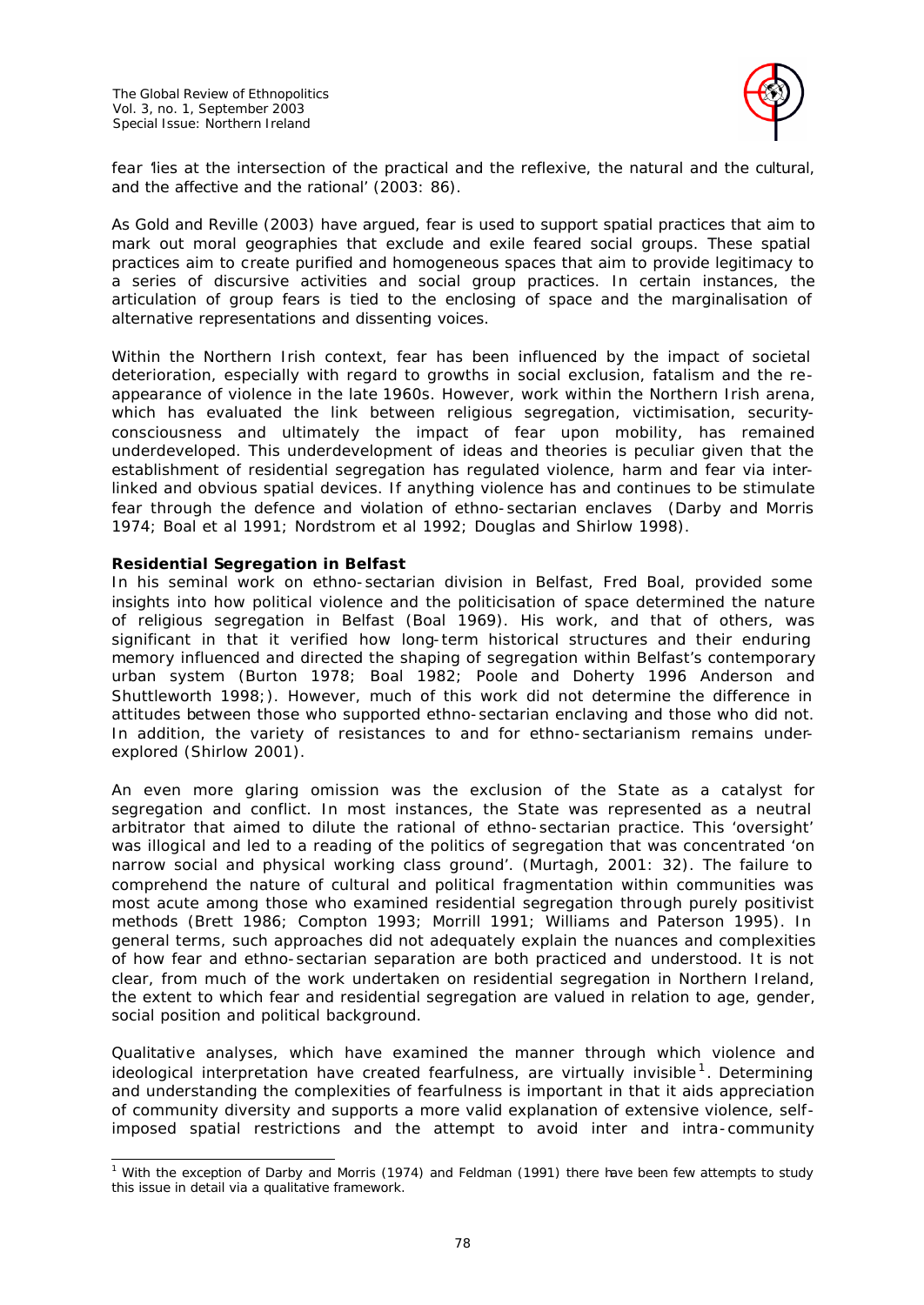

fear 'lies at the intersection of the practical and the reflexive, the natural and the cultural, and the affective and the rational' (2003: 86).

As Gold and Reville (2003) have argued, fear is used to support spatial practices that aim to mark out moral geographies that exclude and exile feared social groups. These spatial practices aim to create purified and homogeneous spaces that aim to provide legitimacy to a series of discursive activities and social group practices. In certain instances, the articulation of group fears is tied to the enclosing of space and the marginalisation of alternative representations and dissenting voices.

Within the Northern Irish context, fear has been influenced by the impact of societal deterioration, especially with regard to growths in social exclusion, fatalism and the reappearance of violence in the late 1960s. However, work within the Northern Irish arena, which has evaluated the link between religious segregation, victimisation, securityconsciousness and ultimately the impact of fear upon mobility, has remained underdeveloped. This underdevelopment of ideas and theories is peculiar given that the establishment of residential segregation has regulated violence, harm and fear via interlinked and obvious spatial devices. If anything violence has and continues to be stimulate fear through the defence and violation of ethno-sectarian enclaves (Darby and Morris 1974; Boal et al 1991; Nordstrom et al 1992; Douglas and Shirlow 1998).

## *Residential Segregation in Belfast*

In his seminal work on ethno-sectarian division in Belfast, Fred Boal, provided some insights into how political violence and the politicisation of space determined the nature of religious segregation in Belfast (Boal 1969). His work, and that of others, was significant in that it verified how long-term historical structures and their enduring memory influenced and directed the shaping of segregation within Belfast's contemporary urban system (Burton 1978; Boal 1982; Poole and Doherty 1996 Anderson and Shuttleworth 1998;). However, much of this work did not determine the difference in attitudes between those who supported ethno-sectarian enclaving and those who did not. In addition, the variety of resistances to and for ethno-sectarianism remains underexplored (Shirlow 2001).

An even more glaring omission was the exclusion of the State as a catalyst for segregation and conflict. In most instances, the State was represented as a neutral arbitrator that aimed to dilute the rational of ethno-sectarian practice. This 'oversight' was illogical and led to a reading of the politics of segregation that was concentrated 'on narrow social and physical working class ground'. (Murtagh, 2001: 32). The failure to comprehend the nature of cultural and political fragmentation within communities was most acute among those who examined residential segregation through purely positivist methods (Brett 1986; Compton 1993; Morrill 1991; Williams and Paterson 1995). In general terms, such approaches did not adequately explain the nuances and complexities of how fear and ethno-sectarian separation are both practiced and understood. It is not clear, from much of the work undertaken on residential segregation in Northern Ireland, the extent to which fear and residential segregation are valued in relation to age, gender, social position and political background.

Qualitative analyses, which have examined the manner through which violence and ideological interpretation have created fearfulness, are virtually invisible<sup>1</sup>. Determining and understanding the complexities of fearfulness is important in that it aids appreciation of community diversity and supports a more valid explanation of extensive violence, selfimposed spatial restrictions and the attempt to avoid inter and intra-community

 1 With the exception of Darby and Morris (1974) and Feldman (1991) there have been few attempts to study this issue in detail via a qualitative framework.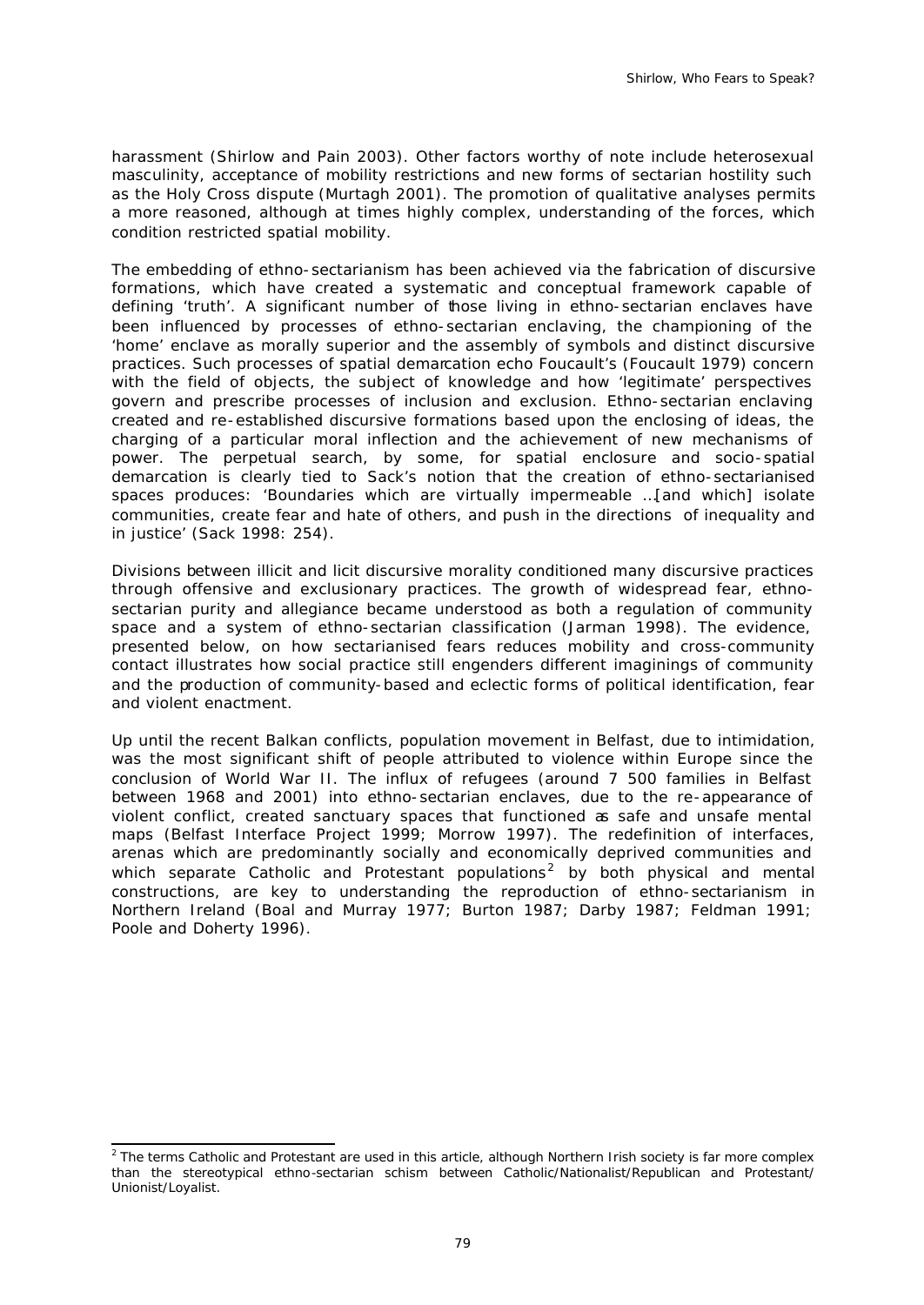harassment (Shirlow and Pain 2003). Other factors worthy of note include heterosexual masculinity, acceptance of mobility restrictions and new forms of sectarian hostility such as the Holy Cross dispute (Murtagh 2001). The promotion of qualitative analyses permits a more reasoned, although at times highly complex, understanding of the forces, which condition restricted spatial mobility.

The embedding of ethno-sectarianism has been achieved via the fabrication of discursive formations, which have created a systematic and conceptual framework capable of defining 'truth'. A significant number of those living in ethno-sectarian enclaves have been influenced by processes of ethno-sectarian enclaving, the championing of the 'home' enclave as morally superior and the assembly of symbols and distinct discursive practices. Such processes of spatial demarcation echo Foucault's (Foucault 1979) concern with the field of objects, the subject of knowledge and how 'legitimate' perspectives govern and prescribe processes of inclusion and exclusion. Ethno-sectarian enclaving created and re-established discursive formations based upon the enclosing of ideas, the charging of a particular moral inflection and the achievement of new mechanisms of power. The perpetual search, by some, for spatial enclosure and socio-spatial demarcation is clearly tied to Sack's notion that the creation of ethno-sectarianised spaces produces: 'Boundaries which are virtually impermeable …[and which] isolate communities, create fear and hate of others, and push in the directions of inequality and in justice' (Sack 1998: 254).

Divisions between illicit and licit discursive morality conditioned many discursive practices through offensive and exclusionary practices. The growth of widespread fear, ethnosectarian purity and allegiance became understood as both a regulation of community space and a system of ethno-sectarian classification (Jarman 1998). The evidence, presented below, on how sectarianised fears reduces mobility and cross-community contact illustrates how social practice still engenders different imaginings of community and the production of community-based and eclectic forms of political identification, fear and violent enactment.

Up until the recent Balkan conflicts, population movement in Belfast, due to intimidation, was the most significant shift of people attributed to violence within Europe since the conclusion of World War II. The influx of refugees (around 7 500 families in Belfast between 1968 and 2001) into ethno-sectarian enclaves, due to the re-appearance of violent conflict, created sanctuary spaces that functioned as safe and unsafe mental maps (Belfast Interface Project 1999; Morrow 1997). The redefinition of interfaces, arenas which are predominantly socially and economically deprived communities and which separate Catholic and Protestant populations<sup>2</sup> by both physical and mental constructions, are key to understanding the reproduction of ethno-sectarianism in Northern Ireland (Boal and Murray 1977; Burton 1987; Darby 1987; Feldman 1991; Poole and Doherty 1996).

 2 The terms Catholic and Protestant are used in this article, although Northern Irish society is far more complex than the stereotypical ethno-sectarian schism between Catholic/Nationalist/Republican and Protestant/ Unionist/Loyalist.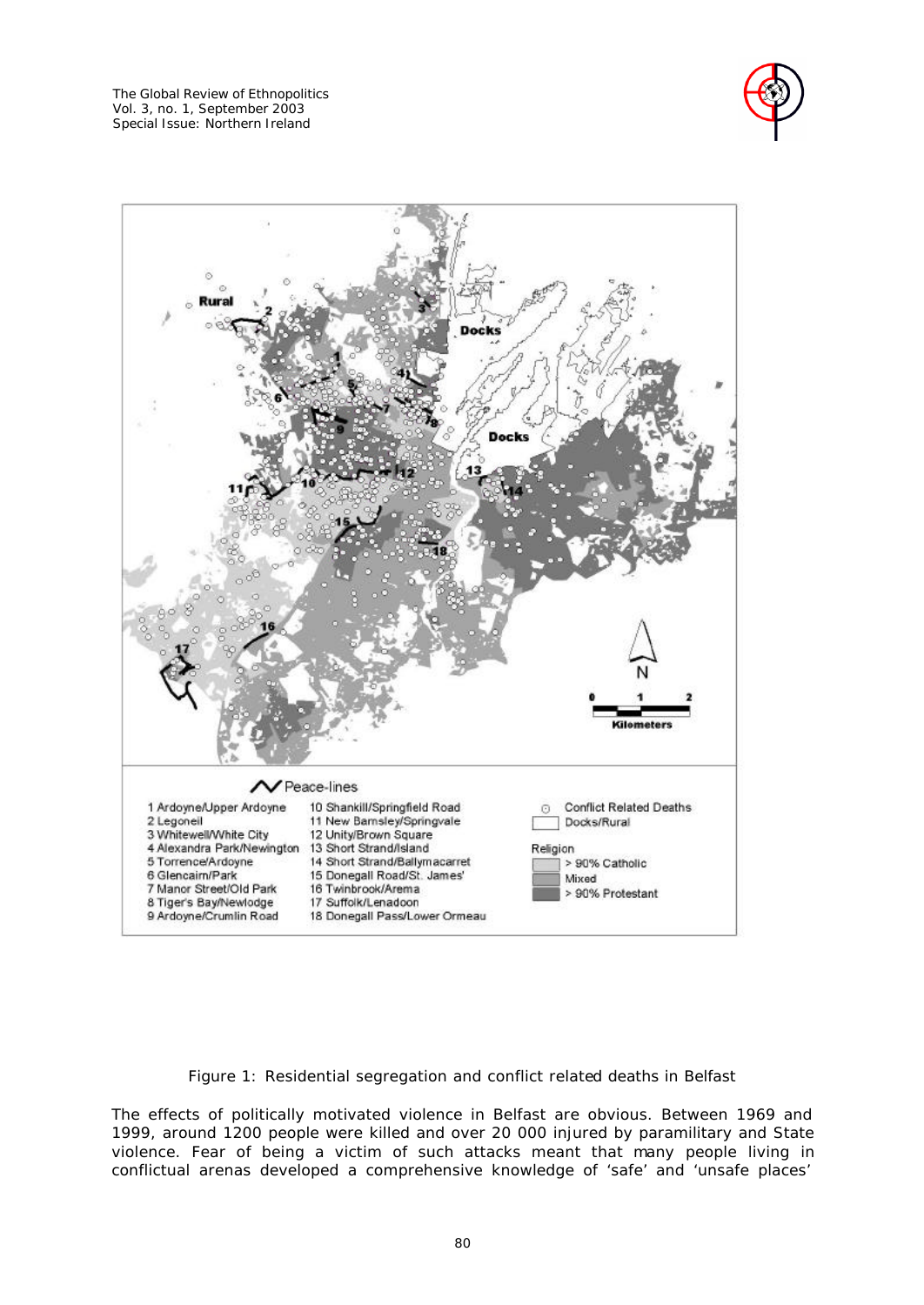The Global Review of Ethnopolitics Vol. 3, no. 1, September 2003 Special Issue: Northern Ireland





Figure 1: Residential segregation and conflict related deaths in Belfast

The effects of politically motivated violence in Belfast are obvious. Between 1969 and 1999, around 1200 people were killed and over 20 000 injured by paramilitary and State violence. Fear of being a victim of such attacks meant that many people living in conflictual arenas developed a comprehensive knowledge of 'safe' and 'unsafe places'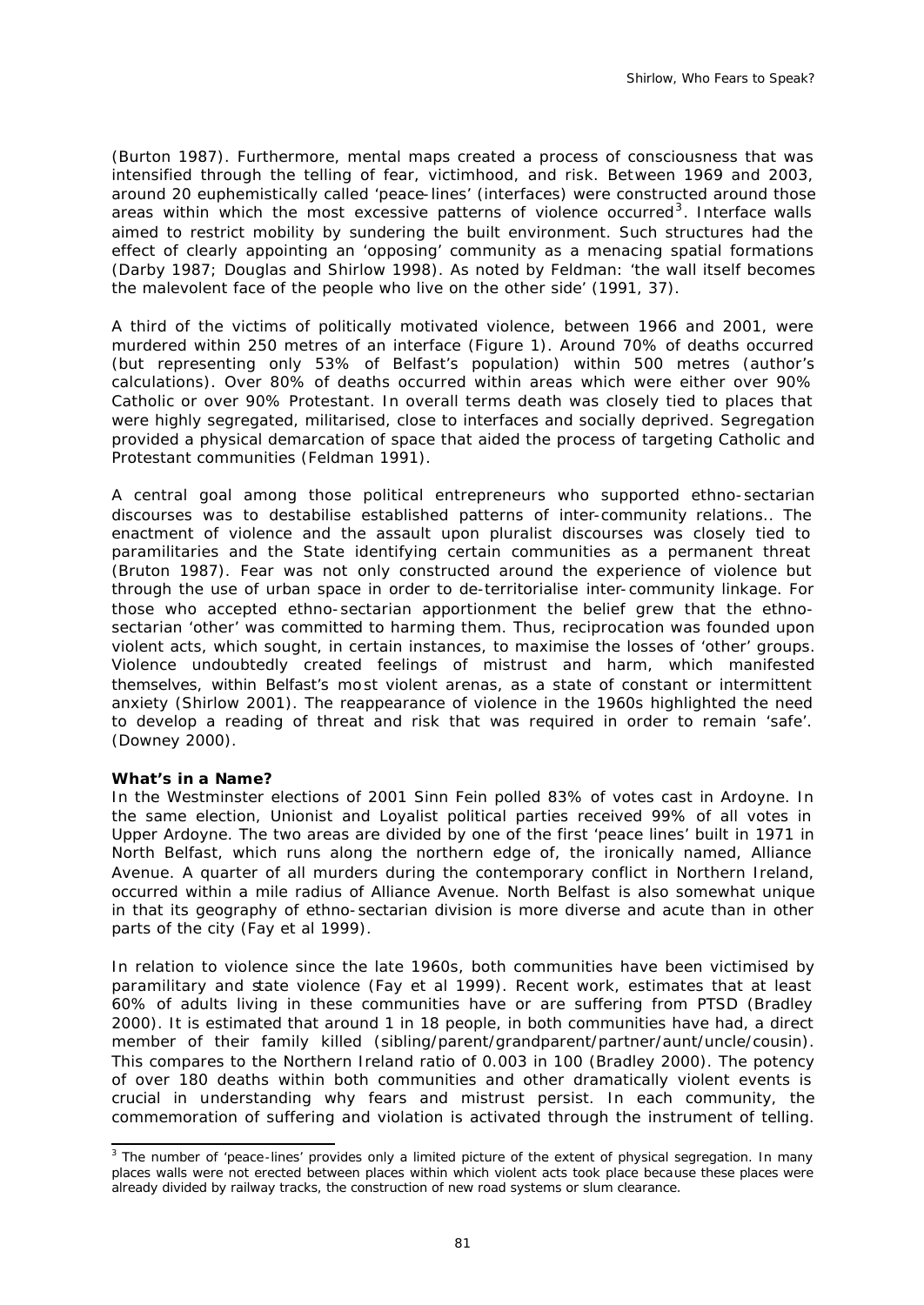(Burton 1987). Furthermore, mental maps created a process of consciousness that was intensified through the telling of fear, victimhood, and risk. Between 1969 and 2003, around 20 euphemistically called 'peace-lines' (interfaces) were constructed around those areas within which the most excessive patterns of violence occurred<sup>3</sup>. Interface walls aimed to restrict mobility by sundering the built environment. Such structures had the effect of clearly appointing an 'opposing' community as a menacing spatial formations (Darby 1987; Douglas and Shirlow 1998). As noted by Feldman: 'the wall itself becomes the malevolent face of the people who live on the other side' (1991, 37).

A third of the victims of politically motivated violence, between 1966 and 2001, were murdered within 250 metres of an interface (Figure 1). Around 70% of deaths occurred (but representing only 53% of Belfast's population) within 500 metres (author's calculations). Over 80% of deaths occurred within areas which were either over 90% Catholic or over 90% Protestant. In overall terms death was closely tied to places that were highly segregated, militarised, close to interfaces and socially deprived. Segregation provided a physical demarcation of space that aided the process of targeting Catholic and Protestant communities (Feldman 1991).

A central goal among those political entrepreneurs who supported ethno-sectarian discourses was to destabilise established patterns of inter-community relations.. The enactment of violence and the assault upon pluralist discourses was closely tied to paramilitaries and the State identifying certain communities as a permanent threat (Bruton 1987). Fear was not only constructed around the experience of violence but through the use of urban space in order to de-territorialise inter-community linkage. For those who accepted ethno-sectarian apportionment the belief grew that the ethnosectarian 'other' was committed to harming them. Thus, reciprocation was founded upon violent acts, which sought, in certain instances, to maximise the losses of 'other' groups. Violence undoubtedly created feelings of mistrust and harm, which manifested themselves, within Belfast's most violent arenas, as a state of constant or intermittent anxiety (Shirlow 2001). The reappearance of violence in the 1960s highlighted the need to develop a reading of threat and risk that was required in order to remain 'safe'. (Downey 2000).

### *What's in a Name?*

In the Westminster elections of 2001 Sinn Fein polled 83% of votes cast in Ardoyne. In the same election, Unionist and Loyalist political parties received 99% of all votes in Upper Ardoyne. The two areas are divided by one of the first 'peace lines' built in 1971 in North Belfast, which runs along the northern edge of, the ironically named, Alliance Avenue. A quarter of all murders during the contemporary conflict in Northern Ireland, occurred within a mile radius of Alliance Avenue. North Belfast is also somewhat unique in that its geography of ethno-sectarian division is more diverse and acute than in other parts of the city (Fay et al 1999).

In relation to violence since the late 1960s, both communities have been victimised by paramilitary and state violence (Fay et al 1999). Recent work, estimates that at least 60% of adults living in these communities have or are suffering from PTSD (Bradley 2000). It is estimated that around 1 in 18 people, in both communities have had, a direct member of their family killed (sibling/parent/grandparent/partner/aunt/uncle/cousin). This compares to the Northern Ireland ratio of 0.003 in 100 (Bradley 2000). The potency of over 180 deaths within both communities and other dramatically violent events is crucial in understanding why fears and mistrust persist. In each community, the commemoration of suffering and violation is activated through the instrument of telling.

 3 The number of 'peace-lines' provides only a limited picture of the extent of physical segregation. In many places walls were not erected between places within which violent acts took place because these places were already divided by railway tracks, the construction of new road systems or slum clearance.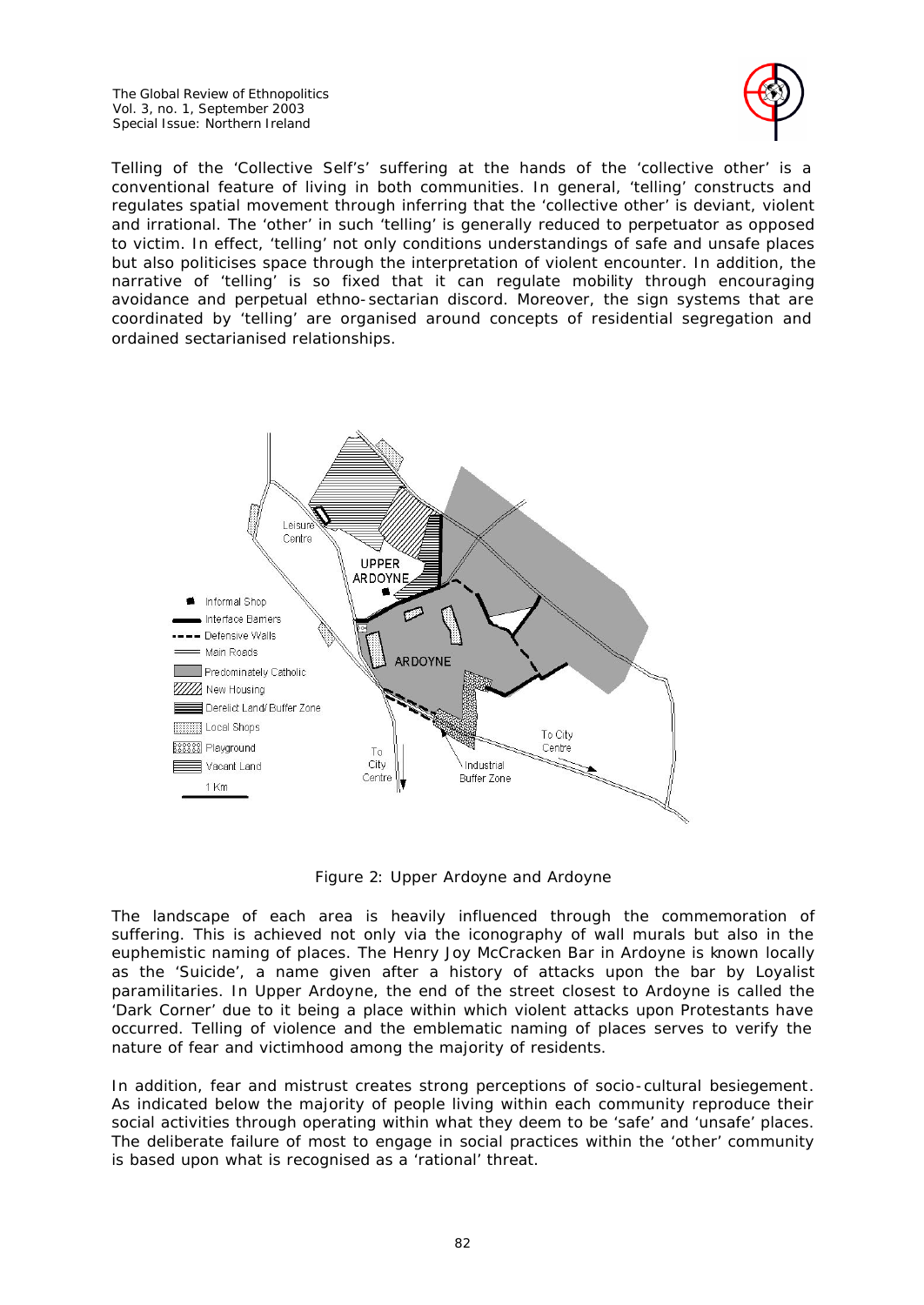The Global Review of Ethnopolitics Vol. 3, no. 1, September 2003 Special Issue: Northern Ireland



Telling of the 'Collective Self's' suffering at the hands of the 'collective other' is a conventional feature of living in both communities. In general, 'telling' constructs and regulates spatial movement through inferring that the 'collective other' is deviant, violent and irrational. The 'other' in such 'telling' is generally reduced to perpetuator as opposed to victim. In effect, 'telling' not only conditions understandings of safe and unsafe places but also politicises space through the interpretation of violent encounter. In addition, the narrative of 'telling' is so fixed that it can regulate mobility through encouraging avoidance and perpetual ethno-sectarian discord. Moreover, the sign systems that are coordinated by 'telling' are organised around concepts of residential segregation and ordained sectarianised relationships.



Figure 2: Upper Ardoyne and Ardoyne

The landscape of each area is heavily influenced through the commemoration of suffering. This is achieved not only via the iconography of wall murals but also in the euphemistic naming of places. The Henry Joy McCracken Bar in Ardoyne is known locally as the 'Suicide', a name given after a history of attacks upon the bar by Loyalist paramilitaries. In Upper Ardoyne, the end of the street closest to Ardoyne is called the 'Dark Corner' due to it being a place within which violent attacks upon Protestants have occurred. Telling of violence and the emblematic naming of places serves to verify the nature of fear and victimhood among the majority of residents.

In addition, fear and mistrust creates strong perceptions of socio-cultural besiegement. As indicated below the majority of people living within each community reproduce their social activities through operating within what they deem to be 'safe' and 'unsafe' places. The deliberate failure of most to engage in social practices within the 'other' community is based upon what is recognised as a 'rational' threat.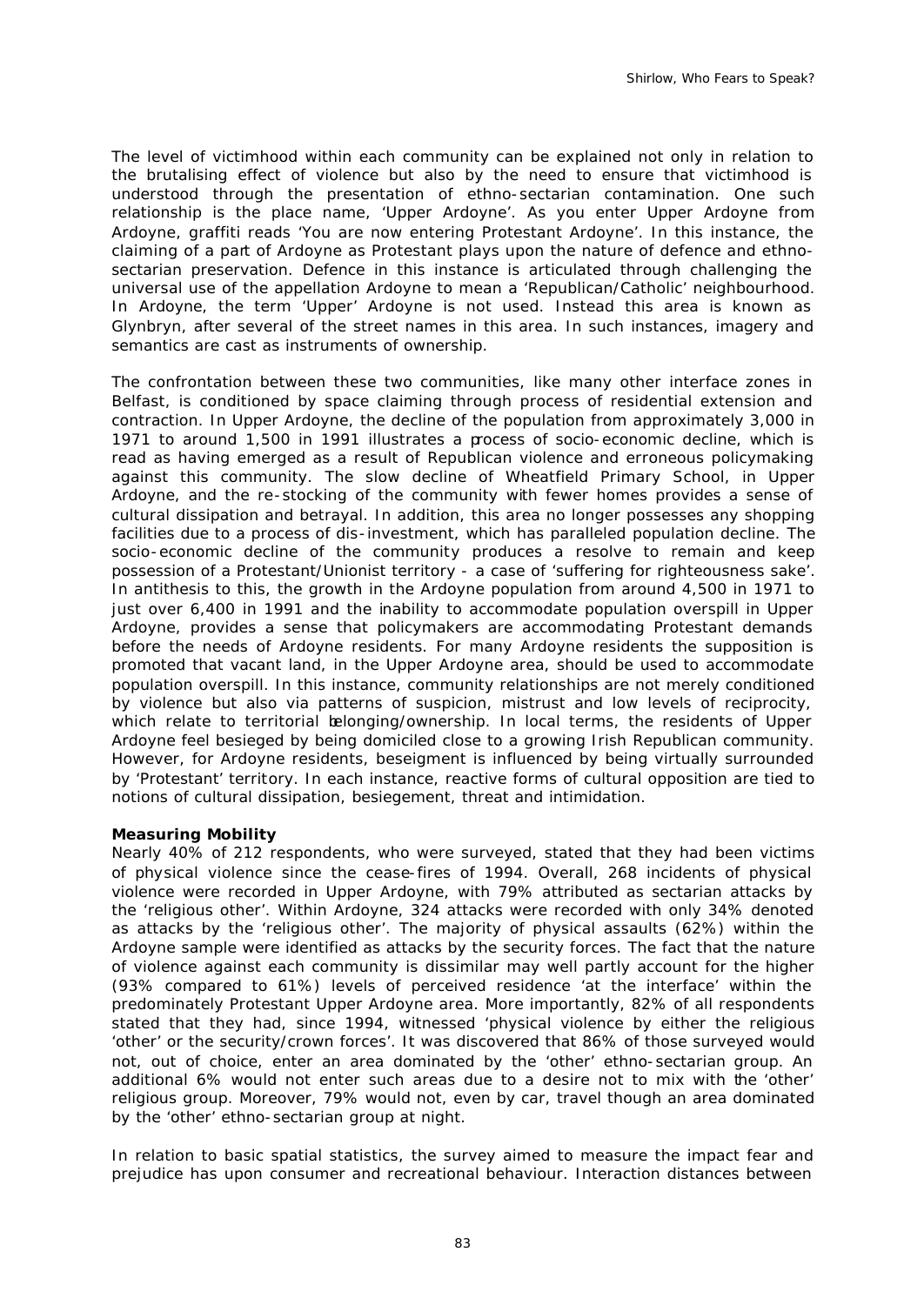The level of victimhood within each community can be explained not only in relation to the brutalising effect of violence but also by the need to ensure that victimhood is understood through the presentation of ethno-sectarian contamination. One such relationship is the place name, 'Upper Ardoyne'. As you enter Upper Ardoyne from Ardoyne, graffiti reads 'You are now entering Protestant Ardoyne'. In this instance, the claiming of a part of Ardoyne as Protestant plays upon the nature of defence and ethnosectarian preservation. Defence in this instance is articulated through challenging the universal use of the appellation Ardoyne to mean a 'Republican/Catholic' neighbourhood. In Ardoyne, the term 'Upper' Ardoyne is not used. Instead this area is known as Glynbryn, after several of the street names in this area. In such instances, imagery and semantics are cast as instruments of ownership.

The confrontation between these two communities, like many other interface zones in Belfast, is conditioned by space claiming through process of residential extension and contraction. In Upper Ardoyne, the decline of the population from approximately 3,000 in 1971 to around 1,500 in 1991 illustrates a process of socio-economic decline, which is read as having emerged as a result of Republican violence and erroneous policymaking against this community. The slow decline of Wheatfield Primary School, in Upper Ardoyne, and the re-stocking of the community with fewer homes provides a sense of cultural dissipation and betrayal. In addition, this area no longer possesses any shopping facilities due to a process of dis-investment, which has paralleled population decline. The socio-economic decline of the community produces a resolve to remain and keep possession of a Protestant/Unionist territory - a case of 'suffering for righteousness sake'. In antithesis to this, the growth in the Ardoyne population from around 4,500 in 1971 to just over 6,400 in 1991 and the inability to accommodate population overspill in Upper Ardoyne, provides a sense that policymakers are accommodating Protestant demands before the needs of Ardoyne residents. For many Ardoyne residents the supposition is promoted that vacant land, in the Upper Ardoyne area, should be used to accommodate population overspill. In this instance, community relationships are not merely conditioned by violence but also via patterns of suspicion, mistrust and low levels of reciprocity, which relate to territorial belonging/ownership. In local terms, the residents of Upper Ardoyne feel besieged by being domiciled close to a growing Irish Republican community. However, for Ardoyne residents, beseigment is influenced by being virtually surrounded by 'Protestant' territory. In each instance, reactive forms of cultural opposition are tied to notions of cultural dissipation, besiegement, threat and intimidation.

### *Measuring Mobility*

Nearly 40% of 212 respondents, who were surveyed, stated that they had been victims of physical violence since the cease-fires of 1994. Overall, 268 incidents of physical violence were recorded in Upper Ardoyne, with 79% attributed as sectarian attacks by the 'religious other'. Within Ardoyne, 324 attacks were recorded with only 34% denoted as attacks by the 'religious other'. The majority of physical assaults (62%) within the Ardoyne sample were identified as attacks by the security forces. The fact that the nature of violence against each community is dissimilar may well partly account for the higher (93% compared to 61%) levels of perceived residence 'at the interface' within the predominately Protestant Upper Ardoyne area. More importantly, 82% of all respondents stated that they had, since 1994, witnessed 'physical violence by either the religious 'other' or the security/crown forces'. It was discovered that 86% of those surveyed would not, out of choice, enter an area dominated by the 'other' ethno-sectarian group. An additional 6% would not enter such areas due to a desire not to mix with the 'other' religious group. Moreover, 79% would not, even by car, travel though an area dominated by the 'other' ethno-sectarian group at night.

In relation to basic spatial statistics, the survey aimed to measure the impact fear and prejudice has upon consumer and recreational behaviour. Interaction distances between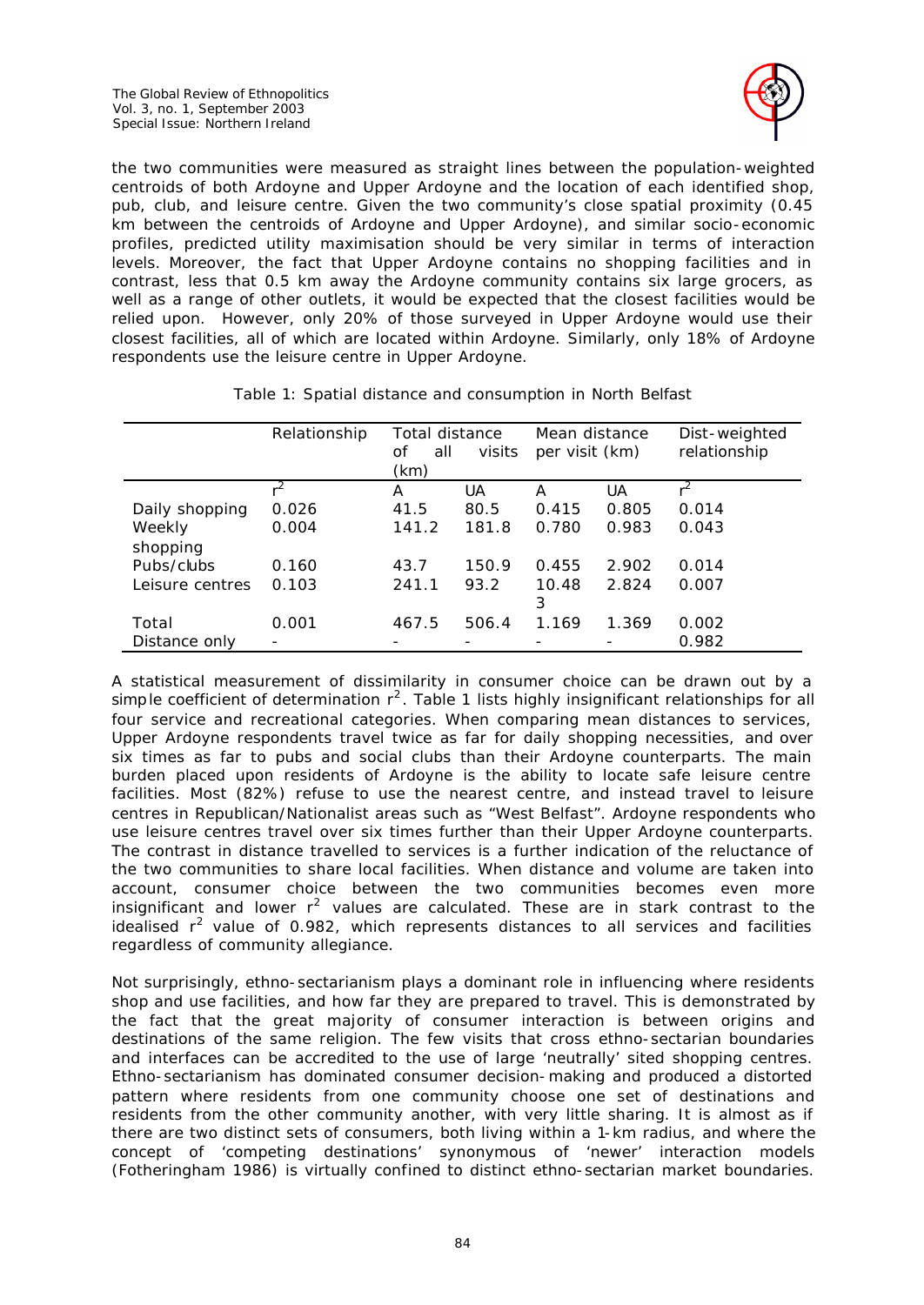

the two communities were measured as straight lines between the population-weighted centroids of both Ardoyne and Upper Ardoyne and the location of each identified shop, pub, club, and leisure centre. Given the two community's close spatial proximity (0.45 km between the centroids of Ardoyne and Upper Ardoyne), and similar socio-economic profiles, predicted utility maximisation should be very similar in terms of interaction levels. Moreover, the fact that Upper Ardoyne contains no shopping facilities and in contrast, less that 0.5 km away the Ardoyne community contains six large grocers, as well as a range of other outlets, it would be expected that the closest facilities would be relied upon. However, only 20% of those surveyed in Upper Ardoyne would use their closest facilities, all of which are located within Ardoyne. Similarly, only 18% of Ardoyne respondents use the leisure centre in Upper Ardoyne.

|                    | Relationship | Total distance<br>of<br>visits<br>all<br>(km) |       | Mean distance<br>per visit (km) |       | Dist-weighted<br>relationship |  |
|--------------------|--------------|-----------------------------------------------|-------|---------------------------------|-------|-------------------------------|--|
|                    |              | Α                                             | UA    | A                               | UA    |                               |  |
| Daily shopping     | 0.026        | 41.5                                          | 80.5  | 0.415                           | 0.805 | 0.014                         |  |
| Weekly<br>shopping | 0.004        | 141.2                                         | 181.8 | 0.780                           | 0.983 | 0.043                         |  |
| Pubs/clubs         | 0.160        | 43.7                                          | 150.9 | 0.455                           | 2.902 | 0.014                         |  |
| Leisure centres    | 0.103        | 241.1                                         | 93.2  | 10.48<br>3                      | 2.824 | 0.007                         |  |
| Total              | 0.001        | 467.5                                         | 506.4 | 1.169                           | 1.369 | 0.002                         |  |
| Distance only      |              |                                               |       |                                 |       | 0.982                         |  |

|  |  | Table 1: Spatial distance and consumption in North Belfast |  |  |
|--|--|------------------------------------------------------------|--|--|
|  |  |                                                            |  |  |

A statistical measurement of dissimilarity in consumer choice can be drawn out by a simple coefficient of determination  $r^2$ . Table 1 lists highly insignificant relationships for all four service and recreational categories. When comparing mean distances to services, Upper Ardoyne respondents travel twice as far for daily shopping necessities, and over six times as far to pubs and social clubs than their Ardoyne counterparts. The main burden placed upon residents of Ardoyne is the ability to locate safe leisure centre facilities. Most (82%) refuse to use the nearest centre, and instead travel to leisure centres in Republican/Nationalist areas such as "West Belfast". Ardoyne respondents who use leisure centres travel over six times further than their Upper Ardoyne counterparts. The contrast in distance travelled to services is a further indication of the reluctance of the two communities to share local facilities. When distance and volume are taken into account, consumer choice between the two communities becomes even more insignificant and lower  $r^2$  values are calculated. These are in stark contrast to the idealised r<sup>2</sup> value of 0.982, which represents distances to all services and facilities regardless of community allegiance.

Not surprisingly, ethno-sectarianism plays a dominant role in influencing where residents shop and use facilities, and how far they are prepared to travel. This is demonstrated by the fact that the great majority of consumer interaction is between origins and destinations of the same religion. The few visits that cross ethno-sectarian boundaries and interfaces can be accredited to the use of large 'neutrally' sited shopping centres. Ethno-sectarianism has dominated consumer decision-making and produced a distorted pattern where residents from one community choose one set of destinations and residents from the other community another, with very little sharing. It is almost as if there are two distinct sets of consumers, both living within a 1-km radius, and where the concept of 'competing destinations' synonymous of 'newer' interaction models (Fotheringham 1986) is virtually confined to distinct ethno-sectarian market boundaries.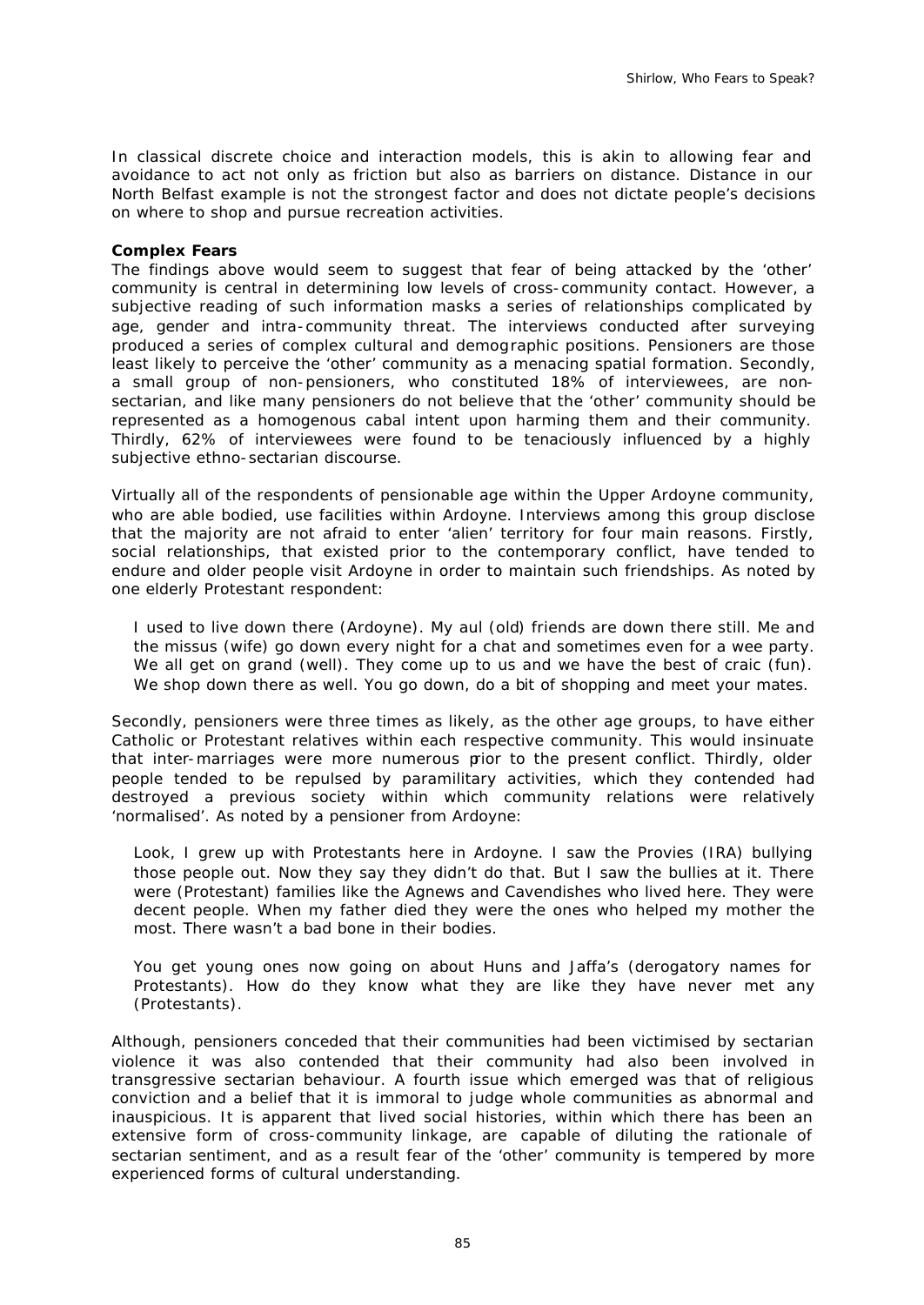In classical discrete choice and interaction models, this is akin to allowing fear and avoidance to act not only as friction but also as barriers on distance. Distance in our North Belfast example is not the strongest factor and does not dictate people's decisions on where to shop and pursue recreation activities.

#### *Complex Fears*

The findings above would seem to suggest that fear of being attacked by the 'other' community is central in determining low levels of cross-community contact. However, a subjective reading of such information masks a series of relationships complicated by age, gender and intra-community threat. The interviews conducted after surveying produced a series of complex cultural and demographic positions. Pensioners are those least likely to perceive the 'other' community as a menacing spatial formation. Secondly, a small group of non-pensioners, who constituted 18% of interviewees, are nonsectarian, and like many pensioners do not believe that the 'other' community should be represented as a homogenous cabal intent upon harming them and their community. Thirdly, 62% of interviewees were found to be tenaciously influenced by a highly subjective ethno-sectarian discourse.

Virtually all of the respondents of pensionable age within the Upper Ardoyne community, who are able bodied, use facilities within Ardoyne. Interviews among this group disclose that the majority are not afraid to enter 'alien' territory for four main reasons. Firstly, social relationships, that existed prior to the contemporary conflict, have tended to endure and older people visit Ardoyne in order to maintain such friendships. As noted by one elderly Protestant respondent:

I used to live down there (Ardoyne). My aul (old) friends are down there still. Me and the missus (wife) go down every night for a chat and sometimes even for a wee party. We all get on grand (well). They come up to us and we have the best of craic (fun). We shop down there as well. You go down, do a bit of shopping and meet your mates.

Secondly, pensioners were three times as likely, as the other age groups, to have either Catholic or Protestant relatives within each respective community. This would insinuate that inter-marriages were more numerous prior to the present conflict. Thirdly, older people tended to be repulsed by paramilitary activities, which they contended had destroyed a previous society within which community relations were relatively 'normalised'. As noted by a pensioner from Ardoyne:

Look, I grew up with Protestants here in Ardoyne. I saw the Provies (IRA) bullying those people out. Now they say they didn't do that. But I saw the bullies at it. There were (Protestant) families like the Agnews and Cavendishes who lived here. They were decent people. When my father died they were the ones who helped my mother the most. There wasn't a bad bone in their bodies.

You get young ones now going on about Huns and Jaffa's (derogatory names for Protestants). How do they know what they are like they have never met any (Protestants).

Although, pensioners conceded that their communities had been victimised by sectarian violence it was also contended that their community had also been involved in transgressive sectarian behaviour. A fourth issue which emerged was that of religious conviction and a belief that it is immoral to judge whole communities as abnormal and inauspicious. It is apparent that lived social histories, within which there has been an extensive form of cross-community linkage, are capable of diluting the rationale of sectarian sentiment, and as a result fear of the 'other' community is tempered by more experienced forms of cultural understanding.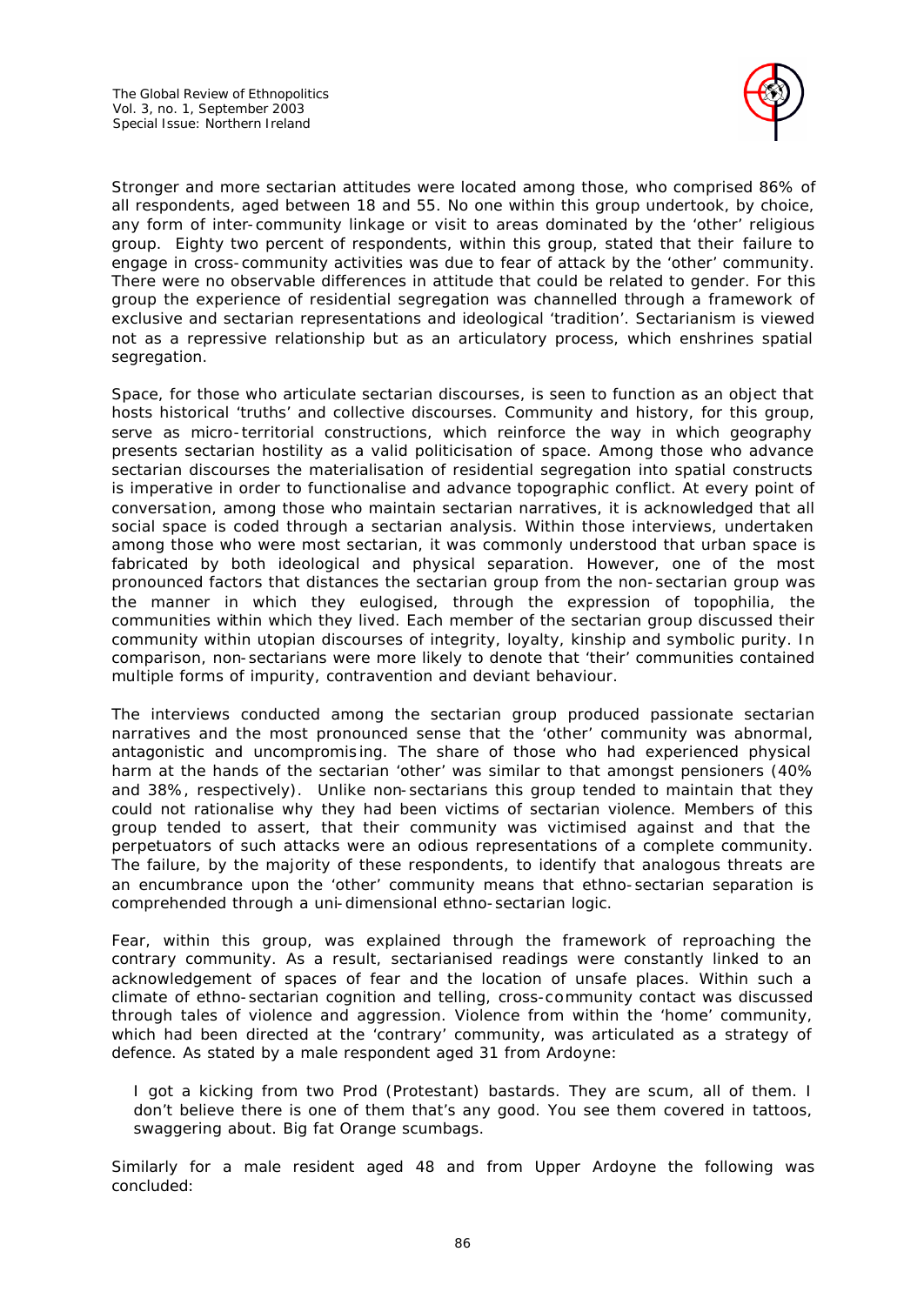

Stronger and more sectarian attitudes were located among those, who comprised 86% of all respondents, aged between 18 and 55. No one within this group undertook, by choice, any form of inter-community linkage or visit to areas dominated by the 'other' religious group. Eighty two percent of respondents, within this group, stated that their failure to engage in cross-community activities was due to fear of attack by the 'other' community. There were no observable differences in attitude that could be related to gender. For this group the experience of residential segregation was channelled through a framework of exclusive and sectarian representations and ideological 'tradition'. Sectarianism is viewed not as a repressive relationship but as an articulatory process, which enshrines spatial segregation.

Space, for those who articulate sectarian discourses, is seen to function as an object that hosts historical 'truths' and collective discourses. Community and history, for this group, serve as micro-territorial constructions, which reinforce the way in which geography presents sectarian hostility as a valid politicisation of space. Among those who advance sectarian discourses the materialisation of residential segregation into spatial constructs is imperative in order to functionalise and advance topographic conflict. At every point of conversation, among those who maintain sectarian narratives, it is acknowledged that all social space is coded through a sectarian analysis. Within those interviews, undertaken among those who were most sectarian, it was commonly understood that urban space is fabricated by both ideological and physical separation. However, one of the most pronounced factors that distances the sectarian group from the non-sectarian group was the manner in which they eulogised, through the expression of topophilia, the communities within which they lived. Each member of the sectarian group discussed their community within utopian discourses of integrity, loyalty, kinship and symbolic purity. In comparison, non-sectarians were more likely to denote that 'their' communities contained multiple forms of impurity, contravention and deviant behaviour.

The interviews conducted among the sectarian group produced passionate sectarian narratives and the most pronounced sense that the 'other' community was abnormal, antagonistic and uncompromis ing. The share of those who had experienced physical harm at the hands of the sectarian 'other' was similar to that amongst pensioners (40% and 38%, respectively). Unlike non-sectarians this group tended to maintain that they could not rationalise why they had been victims of sectarian violence. Members of this group tended to assert, that their community was victimised against and that the perpetuators of such attacks were an odious representations of a complete community. The failure, by the majority of these respondents, to identify that analogous threats are an encumbrance upon the 'other' community means that ethno-sectarian separation is comprehended through a uni-dimensional ethno-sectarian logic.

Fear, within this group, was explained through the framework of reproaching the contrary community. As a result, sectarianised readings were constantly linked to an acknowledgement of spaces of fear and the location of unsafe places. Within such a climate of ethno-sectarian cognition and telling, cross-community contact was discussed through tales of violence and aggression. Violence from within the 'home' community, which had been directed at the 'contrary' community, was articulated as a strategy of defence. As stated by a male respondent aged 31 from Ardoyne:

I got a kicking from two Prod (Protestant) bastards. They are scum, all of them. I don't believe there is one of them that's any good. You see them covered in tattoos, swaggering about. Big fat Orange scumbags.

Similarly for a male resident aged 48 and from Upper Ardoyne the following was concluded: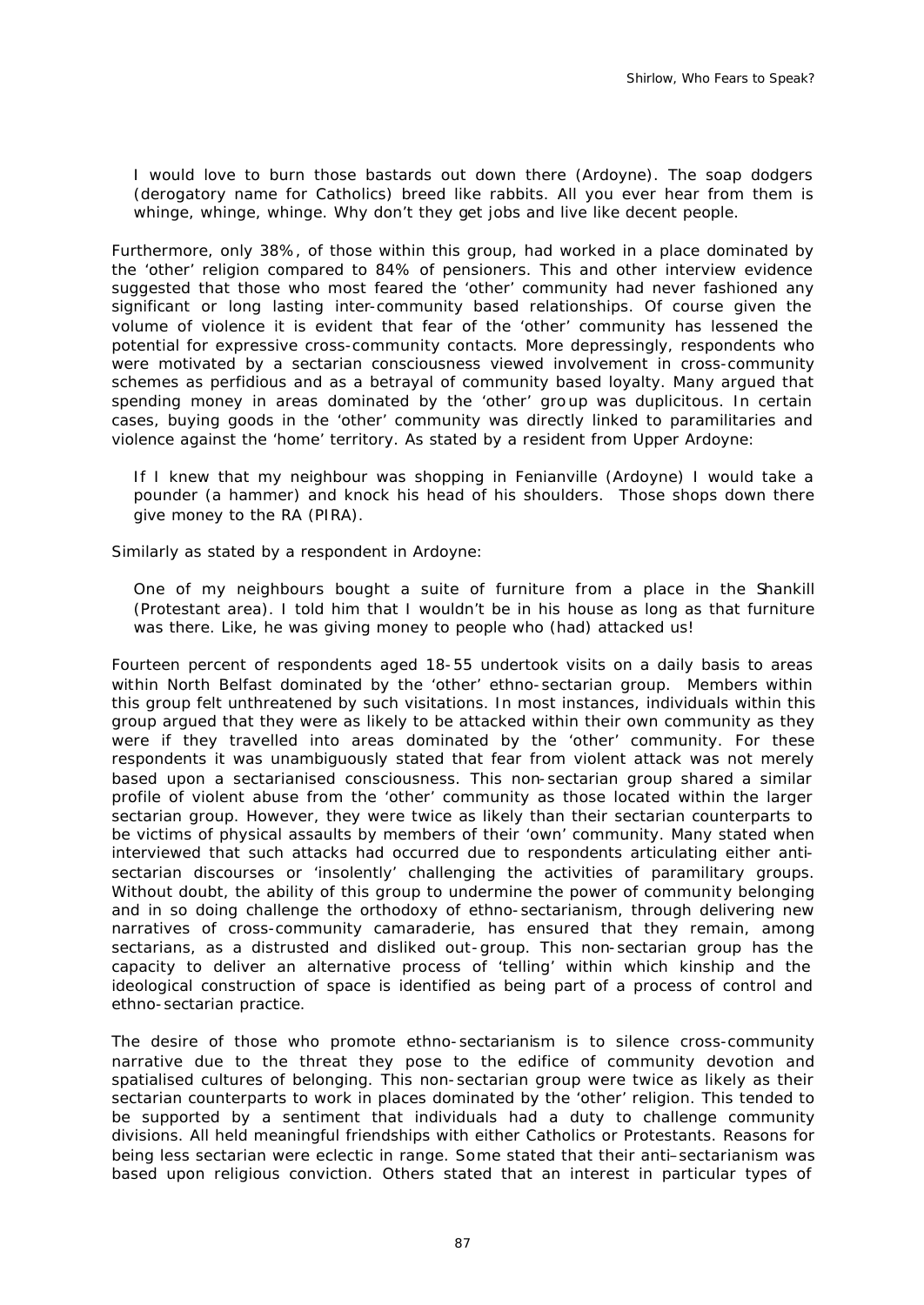I would love to burn those bastards out down there (Ardoyne). The soap dodgers (derogatory name for Catholics) breed like rabbits. All you ever hear from them is whinge, whinge, whinge. Why don't they get jobs and live like decent people.

Furthermore, only 38%, of those within this group, had worked in a place dominated by the 'other' religion compared to 84% of pensioners. This and other interview evidence suggested that those who most feared the 'other' community had never fashioned any significant or long lasting inter-community based relationships. Of course given the volume of violence it is evident that fear of the 'other' community has lessened the potential for expressive cross-community contacts. More depressingly, respondents who were motivated by a sectarian consciousness viewed involvement in cross-community schemes as perfidious and as a betrayal of community based loyalty. Many argued that spending money in areas dominated by the 'other' gro up was duplicitous. In certain cases, buying goods in the 'other' community was directly linked to paramilitaries and violence against the 'home' territory. As stated by a resident from Upper Ardoyne:

If I knew that my neighbour was shopping in Fenianville (Ardoyne) I would take a pounder (a hammer) and knock his head of his shoulders. Those shops down there give money to the RA (PIRA).

Similarly as stated by a respondent in Ardoyne:

One of my neighbours bought a suite of furniture from a place in the Shankill (Protestant area). I told him that I wouldn't be in his house as long as that furniture was there. Like, he was giving money to people who (had) attacked us!

Fourteen percent of respondents aged 18-55 undertook visits on a daily basis to areas within North Belfast dominated by the 'other' ethno-sectarian group. Members within this group felt unthreatened by such visitations. In most instances, individuals within this group argued that they were as likely to be attacked within their own community as they were if they travelled into areas dominated by the 'other' community. For these respondents it was unambiguously stated that fear from violent attack was not merely based upon a sectarianised consciousness. This non-sectarian group shared a similar profile of violent abuse from the 'other' community as those located within the larger sectarian group. However, they were twice as likely than their sectarian counterparts to be victims of physical assaults by members of their 'own' community. Many stated when interviewed that such attacks had occurred due to respondents articulating either antisectarian discourses or 'insolently' challenging the activities of paramilitary groups. Without doubt, the ability of this group to undermine the power of community belonging and in so doing challenge the orthodoxy of ethno-sectarianism, through delivering new narratives of cross-community camaraderie, has ensured that they remain, among sectarians, as a distrusted and disliked out-group. This non-sectarian group has the capacity to deliver an alternative process of 'telling' within which kinship and the ideological construction of space is identified as being part of a process of control and ethno-sectarian practice.

The desire of those who promote ethno-sectarianism is to silence cross-community narrative due to the threat they pose to the edifice of community devotion and spatialised cultures of belonging. This non-sectarian group were twice as likely as their sectarian counterparts to work in places dominated by the 'other' religion. This tended to be supported by a sentiment that individuals had a duty to challenge community divisions. All held meaningful friendships with either Catholics or Protestants. Reasons for being less sectarian were eclectic in range. Some stated that their anti–sectarianism was based upon religious conviction. Others stated that an interest in particular types of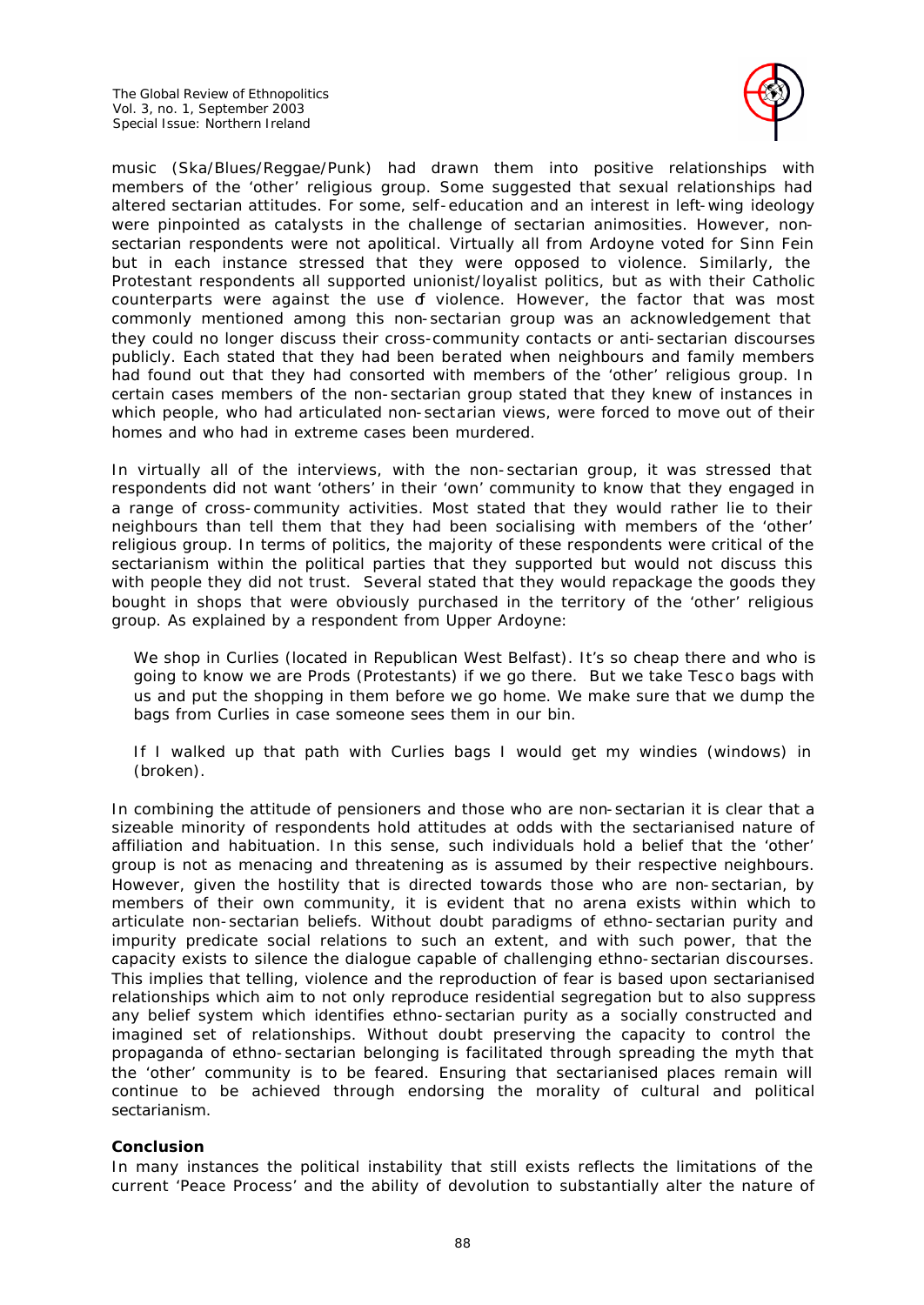

music (Ska/Blues/Reggae/Punk) had drawn them into positive relationships with members of the 'other' religious group. Some suggested that sexual relationships had altered sectarian attitudes. For some, self-education and an interest in left-wing ideology were pinpointed as catalysts in the challenge of sectarian animosities. However, nonsectarian respondents were not apolitical. Virtually all from Ardoyne voted for Sinn Fein but in each instance stressed that they were opposed to violence. Similarly, the Protestant respondents all supported unionist/loyalist politics, but as with their Catholic counterparts were against the use of violence. However, the factor that was most commonly mentioned among this non-sectarian group was an acknowledgement that they could no longer discuss their cross-community contacts or anti-sectarian discourses publicly. Each stated that they had been berated when neighbours and family members had found out that they had consorted with members of the 'other' religious group. In certain cases members of the non-sectarian group stated that they knew of instances in which people, who had articulated non-sectarian views, were forced to move out of their homes and who had in extreme cases been murdered.

In virtually all of the interviews, with the non-sectarian group, it was stressed that respondents did not want 'others' in their 'own' community to know that they engaged in a range of cross-community activities. Most stated that they would rather lie to their neighbours than tell them that they had been socialising with members of the 'other' religious group. In terms of politics, the majority of these respondents were critical of the sectarianism within the political parties that they supported but would not discuss this with people they did not trust. Several stated that they would repackage the goods they bought in shops that were obviously purchased in the territory of the 'other' religious group. As explained by a respondent from Upper Ardoyne:

We shop in Curlies (located in Republican West Belfast). It's so cheap there and who is going to know we are Prods (Protestants) if we go there. But we take Tesco bags with us and put the shopping in them before we go home. We make sure that we dump the bags from Curlies in case someone sees them in our bin.

If I walked up that path with Curlies bags I would get my windies (windows) in (broken).

In combining the attitude of pensioners and those who are non-sectarian it is clear that a sizeable minority of respondents hold attitudes at odds with the sectarianised nature of affiliation and habituation. In this sense, such individuals hold a belief that the 'other' group is not as menacing and threatening as is assumed by their respective neighbours. However, given the hostility that is directed towards those who are non-sectarian, by members of their own community, it is evident that no arena exists within which to articulate non-sectarian beliefs. Without doubt paradigms of ethno-sectarian purity and impurity predicate social relations to such an extent, and with such power, that the capacity exists to silence the dialogue capable of challenging ethno-sectarian discourses. This implies that telling, violence and the reproduction of fear is based upon sectarianised relationships which aim to not only reproduce residential segregation but to also suppress any belief system which identifies ethno-sectarian purity as a socially constructed and imagined set of relationships. Without doubt preserving the capacity to control the propaganda of ethno-sectarian belonging is facilitated through spreading the myth that the 'other' community is to be feared. Ensuring that sectarianised places remain will continue to be achieved through endorsing the morality of cultural and political sectarianism.

### *Conclusion*

In many instances the political instability that still exists reflects the limitations of the current 'Peace Process' and the ability of devolution to substantially alter the nature of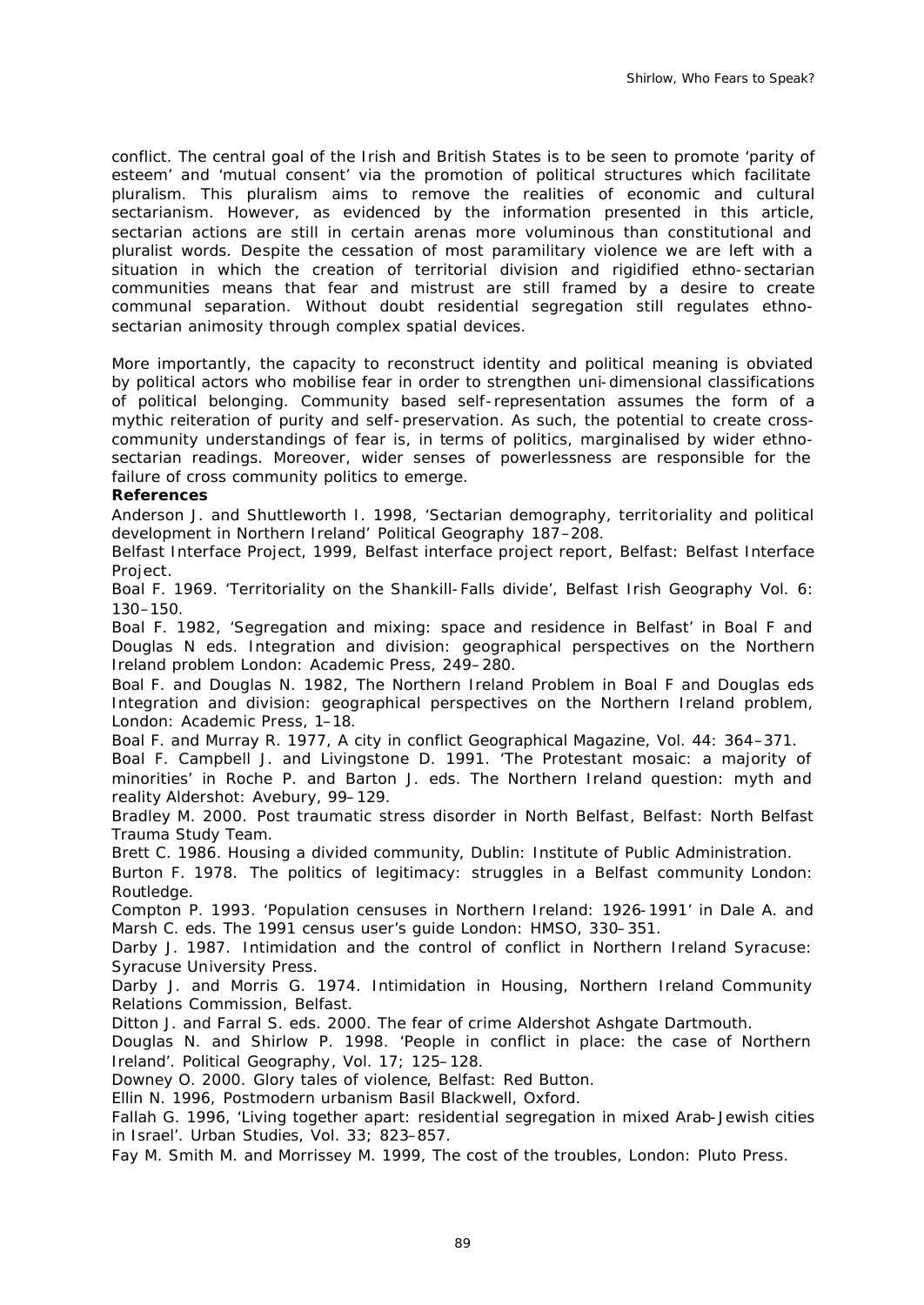conflict. The central goal of the Irish and British States is to be seen to promote 'parity of esteem' and 'mutual consent' via the promotion of political structures which facilitate pluralism. This pluralism aims to remove the realities of economic and cultural sectarianism. However, as evidenced by the information presented in this article, sectarian actions are still in certain arenas more voluminous than constitutional and pluralist words. Despite the cessation of most paramilitary violence we are left with a situation in which the creation of territorial division and rigidified ethno-sectarian communities means that fear and mistrust are still framed by a desire to create communal separation. Without doubt residential segregation still regulates ethnosectarian animosity through complex spatial devices.

More importantly, the capacity to reconstruct identity and political meaning is obviated by political actors who mobilise fear in order to strengthen uni-dimensional classifications of political belonging. Community based self-representation assumes the form of a mythic reiteration of purity and self-preservation. As such, the potential to create crosscommunity understandings of fear is, in terms of politics, marginalised by wider ethnosectarian readings. Moreover, wider senses of powerlessness are responsible for the failure of cross community politics to emerge.

### *References*

Anderson J. and Shuttleworth I. 1998, 'Sectarian demography, territoriality and political development in Northern Ireland' *Political Geography* 187–208.

Belfast Interface Project, 1999, *Belfast interface project report*, Belfast: Belfast Interface Project.

Boal F. 1969. 'Territoriality on the Shankill-Falls divide', Belfast *Irish Geography* Vol. 6: 130–150.

Boal F. 1982, 'Segregation and mixing: space and residence in Belfast' in Boal F and Douglas N eds. *Integration and division: geographical perspectives on the Northern Ireland problem* London: Academic Press, 249–280.

Boal F. and Douglas N. 1982, The Northern Ireland Problem in Boal F and Douglas eds *Integration and division: geographical perspectives on the Northern Ireland problem*, London: Academic Press, 1–18.

Boal F. and Murray R. 1977, A city in conflict *Geographical Magazine*, Vol. 44: 364–371.

Boal F. Campbell J. and Livingstone D. 1991. 'The Protestant mosaic: a majority of minorities' in Roche P. and Barton J. eds. *The Northern Ireland question: myth and reality* Aldershot: Avebury, 99–129.

Bradley M. 2000. *Post traumatic stress disorder in North Belfast*, Belfast: North Belfast Trauma Study Team.

Brett C. 1986. *Housing a divided community*, Dublin: Institute of Public Administration.

Burton F. 1978. *The politics of legitimacy: struggles in a Belfast community* London: Routledge.

Compton P. 1993. 'Population censuses in Northern Ireland: 1926-1991' in Dale A. and Marsh C. eds. *The 1991 census user's guide* London: HMSO, 330–351.

Darby J. 1987. *Intimidation and the control of conflict in Northern Ireland* Syracuse: Syracuse University Press.

Darby J. and Morris G. 1974. *Intimidation in Housing, Northern Ireland* Community Relations Commission, Belfast.

Ditton J. and Farral S. eds. 2000. *The fear of crime* Aldershot Ashgate Dartmouth.

Douglas N. and Shirlow P. 1998. 'People in conflict in place: the case of Northern Ireland'. *Political Geography*, Vol. 17; 125–128.

Downey O. 2000. *Glory tales of violence*, Belfast: Red Button.

Ellin N. 1996, *Postmodern urbanism* Basil Blackwell, Oxford.

Fallah G. 1996, 'Living together apart: residential segregation in mixed Arab-Jewish cities in Israel'. *Urban Studies*, Vol. 33; 823–857.

Fay M. Smith M. and Morrissey M. 1999, *The cost of the troubles*, London: Pluto Press.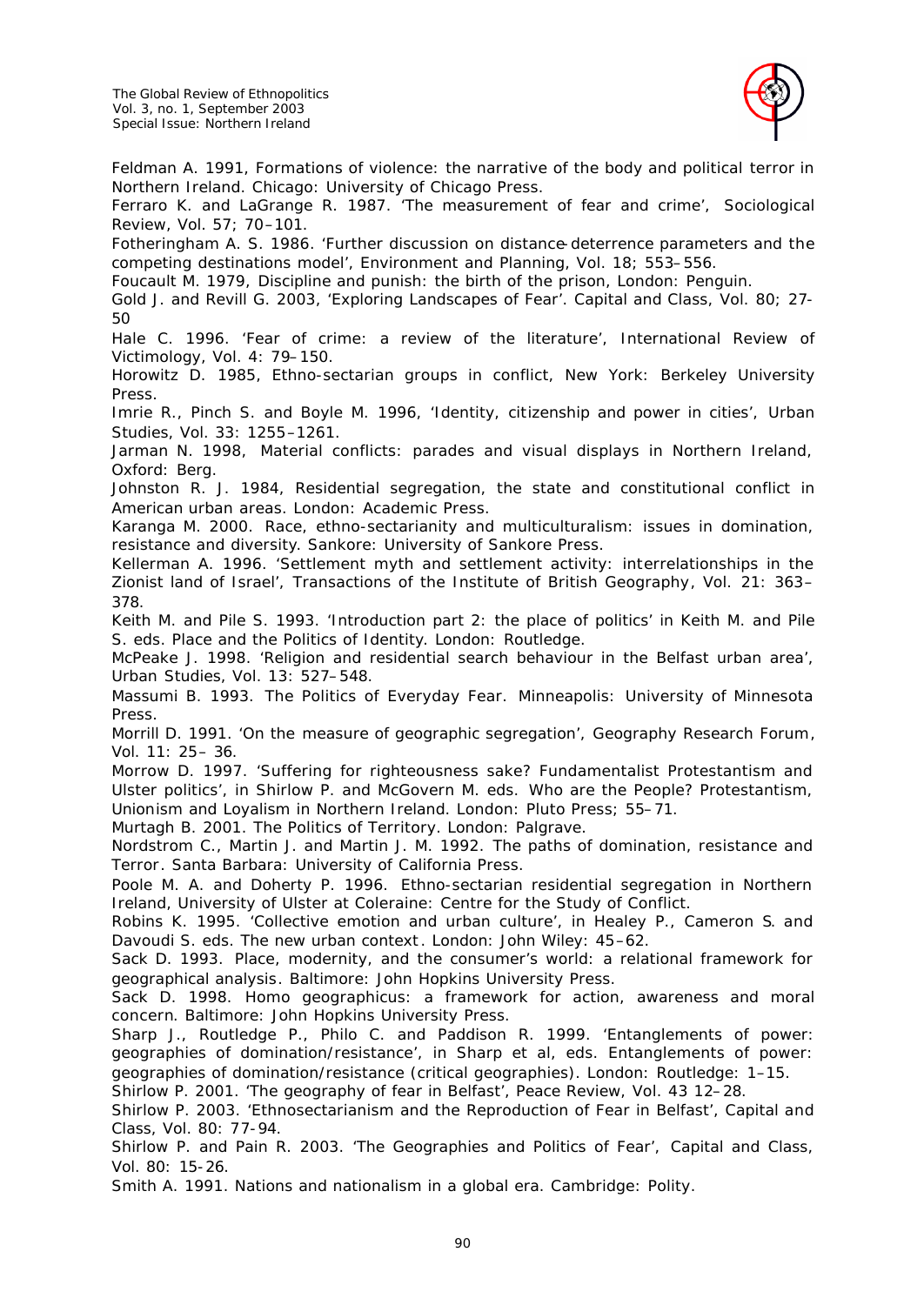The Global Review of Ethnopolitics Vol. 3, no. 1, September 2003 Special Issue: Northern Ireland



Feldman A. 1991, *Formations of violence: the narrative of the body and political terror in Northern Ireland*. Chicago: University of Chicago Press.

Ferraro K. and LaGrange R. 1987. 'The measurement of fear and crime', *Sociological Review*, Vol. 57; 70–101.

Fotheringham A. S. 1986. 'Further discussion on distance-deterrence parameters and the competing destinations model', *Environment and Planning*, Vol. 18; 553–556.

Foucault M. 1979, *Discipline and punish: the birth of the prison*, London: Penguin.

Gold J. and Revill G. 2003, 'Exploring Landscapes of Fear'. *Capital and Class*, Vol. 80; 27- 50

Hale C. 1996. 'Fear of crime: a review of the literature', *International Review of Victimology*, Vol. 4: 79–150.

Horowitz D. 1985, *Ethno-sectarian groups in conflict*, New York: Berkeley University Press.

Imrie R., Pinch S. and Boyle M. 1996, 'Identity, citizenship and power in cities', *Urban Studies*, Vol. 33: 1255–1261.

Jarman N. 1998, *Material conflicts: parades and visual displays in Northern Ireland,*  Oxford: Berg.

Johnston R. J. 1984, *Residential segregation, the state and constitutional conflict in American urban* areas. London: Academic Press.

Karanga M. 2000. *Race, ethno-sectarianity and multiculturalism: issues in domination, resistance and diversity*. Sankore: University of Sankore Press.

Kellerman A. 1996. 'Settlement myth and settlement activity: interrelationships in the Zionist land of Israel', *Transactions of the Institute of British Geography*, Vol. 21: 363– 378.

Keith M. and Pile S. 1993. 'Introduction part 2: the place of politics' in Keith M. and Pile S. eds. *Place and the Politics of Identity*. London: Routledge.

McPeake J. 1998. 'Religion and residential search behaviour in the Belfast urban area', *Urban Studies*, Vol. 13: 527–548.

Massumi B. 1993. *The Politics of Everyday Fear.* Minneapolis: University of Minnesota Press.

Morrill D. 1991. 'On the measure of geographic segregation', *Geography Research Forum*, Vol. 11: 25– 36.

Morrow D. 1997. 'Suffering for righteousness sake? Fundamentalist Protestantism and Ulster politics', in Shirlow P. and McGovern M. eds. *Who are the People? Protestantism, Unionism and Loyalism in Northern Ireland*. London: Pluto Press; 55–71.

Murtagh B. 2001. *The Politics of Territory.* London: Palgrave.

Nordstrom C., Martin J. and Martin J. M. 1992. *The paths of domination, resistance and Terror*. Santa Barbara: University of California Press.

Poole M. A. and Doherty P. 1996. *Ethno-sectarian residential segregation in Northern Ireland,* University of Ulster at Coleraine: Centre for the Study of Conflict.

Robins K. 1995. 'Collective emotion and urban culture', in Healey P., Cameron S. and Davoudi S. eds. *The new urban context*. London: John Wiley: 45–62.

Sack D. 1993. *Place, modernity, and the consumer's world: a relational framework for geographical analysis*. Baltimore: John Hopkins University Press.

Sack D. 1998. *Homo geographicus: a framework for action, awareness and moral concern*. Baltimore: John Hopkins University Press.

Sharp J., Routledge P., Philo C. and Paddison R. 1999. 'Entanglements of power: geographies of domination/resistance', in Sharp et al, eds. *Entanglements of power: geographies of domination/resistance (critical geographies)*. London: Routledge: 1–15.

Shirlow P. 2001. 'The geography of fear in Belfast', *Peace Review*, Vol. 43 12–28.

Shirlow P. 2003. 'Ethnosectarianism and the Reproduction of Fear in Belfast', *Capital and Class,* Vol. 80: 77-94.

Shirlow P. and Pain R. 2003. 'The Geographies and Politics of Fear', *Capital and Class*, Vol. 80: 15-26.

Smith A. 1991. *Nations and nationalism in a global era*. Cambridge: Polity.